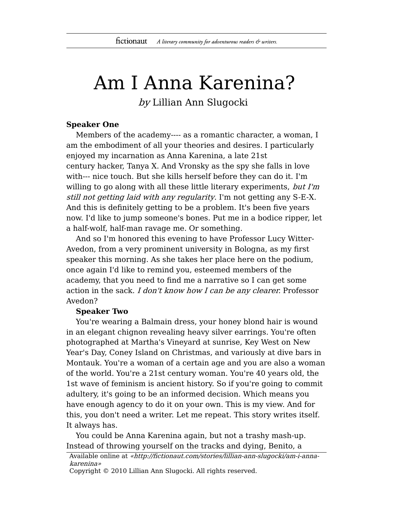# Am I Anna Karenina?

by Lillian Ann Slugocki

## **Speaker One**

Members of the academy---- as a romantic character, a woman, I am the embodiment of all your theories and desires. I particularly enjoyed my incarnation as Anna Karenina, a late 21st century hacker, Tanya X. And Vronsky as the spy she falls in love with--- nice touch. But she kills herself before they can do it. I'm willing to go along with all these little literary experiments, but  $I'm$ still not getting laid with any regularity. I'm not getting any S-E-X. And this is definitely getting to be a problem. It's been five years now. I'd like to jump someone's bones. Put me in a bodice ripper, let a half-wolf, half-man ravage me. Or something.

And so I'm honored this evening to have Professor Lucy Witter-Avedon, from a very prominent university in Bologna, as my first speaker this morning. As she takes her place here on the podium, once again I'd like to remind you, esteemed members of the academy, that you need to find me a narrative so I can get some action in the sack. I don't know how I can be any clearer. Professor Avedon?

#### **Speaker Two**

You're wearing a Balmain dress, your honey blond hair is wound in an elegant chignon revealing heavy silver earrings. You're often photographed at Martha's Vineyard at sunrise, Key West on New Year's Day, Coney Island on Christmas, and variously at dive bars in Montauk. You're a woman of a certain age and you are also a woman of the world. You're a 21st century woman. You're 40 years old, the 1st wave of feminism is ancient history. So if you're going to commit adultery, it's going to be an informed decision. Which means you have enough agency to do it on your own. This is my view. And for this, you don't need a writer. Let me repeat. This story writes itself. It always has.

You could be Anna Karenina again, but not a trashy mash-up. Instead of throwing yourself on the tracks and dying, Benito, a

Available online at «http://fictionaut.com/stories/lillian-ann-slugocki/am-i-annakarenina»

Copyright © 2010 Lillian Ann Slugocki. All rights reserved.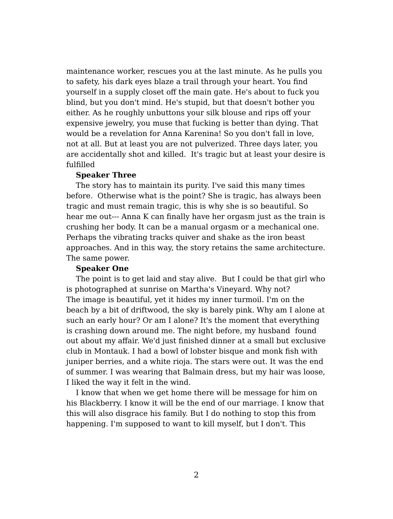maintenance worker, rescues you at the last minute. As he pulls you to safety, his dark eyes blaze a trail through your heart. You find yourself in a supply closet off the main gate. He's about to fuck you blind, but you don't mind. He's stupid, but that doesn't bother you either. As he roughly unbuttons your silk blouse and rips off your expensive jewelry, you muse that fucking is better than dying. That would be a revelation for Anna Karenina! So you don't fall in love, not at all. But at least you are not pulverized. Three days later, you are accidentally shot and killed. It's tragic but at least your desire is fulfilled

## **Speaker Three**

The story has to maintain its purity. I've said this many times before. Otherwise what is the point? She is tragic, has always been tragic and must remain tragic, this is why she is so beautiful. So hear me out--- Anna K can finally have her orgasm just as the train is crushing her body. It can be a manual orgasm or a mechanical one. Perhaps the vibrating tracks quiver and shake as the iron beast approaches. And in this way, the story retains the same architecture. The same power.

# **Speaker One**

The point is to get laid and stay alive. But I could be that girl who is photographed at sunrise on Martha's Vineyard. Why not? The image is beautiful, yet it hides my inner turmoil. I'm on the beach by a bit of driftwood, the sky is barely pink. Why am I alone at such an early hour? Or am I alone? It's the moment that everything is crashing down around me. The night before, my husband found out about my affair. We'd just finished dinner at a small but exclusive club in Montauk. I had a bowl of lobster bisque and monk fish with juniper berries, and a white rioja. The stars were out. It was the end of summer. I was wearing that Balmain dress, but my hair was loose, I liked the way it felt in the wind.

I know that when we get home there will be message for him on his Blackberry. I know it will be the end of our marriage. I know that this will also disgrace his family. But I do nothing to stop this from happening. I'm supposed to want to kill myself, but I don't. This